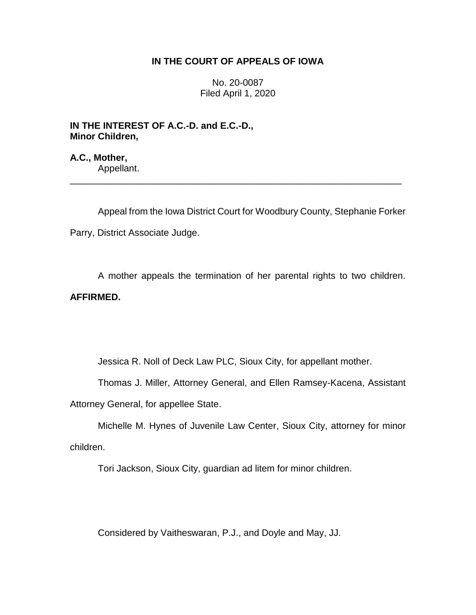## **IN THE COURT OF APPEALS OF IOWA**

No. 20-0087 Filed April 1, 2020

**IN THE INTEREST OF A.C.-D. and E.C.-D., Minor Children,**

**A.C., Mother,** Appellant.

Appeal from the Iowa District Court for Woodbury County, Stephanie Forker Parry, District Associate Judge.

\_\_\_\_\_\_\_\_\_\_\_\_\_\_\_\_\_\_\_\_\_\_\_\_\_\_\_\_\_\_\_\_\_\_\_\_\_\_\_\_\_\_\_\_\_\_\_\_\_\_\_\_\_\_\_\_\_\_\_\_\_\_\_\_

A mother appeals the termination of her parental rights to two children. **AFFIRMED.**

Jessica R. Noll of Deck Law PLC, Sioux City, for appellant mother.

Thomas J. Miller, Attorney General, and Ellen Ramsey-Kacena, Assistant

Attorney General, for appellee State.

Michelle M. Hynes of Juvenile Law Center, Sioux City, attorney for minor children.

Tori Jackson, Sioux City, guardian ad litem for minor children.

Considered by Vaitheswaran, P.J., and Doyle and May, JJ.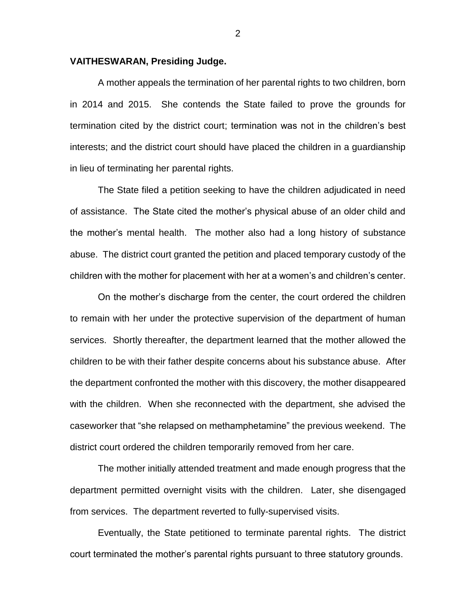## **VAITHESWARAN, Presiding Judge.**

A mother appeals the termination of her parental rights to two children, born in 2014 and 2015. She contends the State failed to prove the grounds for termination cited by the district court; termination was not in the children's best interests; and the district court should have placed the children in a guardianship in lieu of terminating her parental rights.

The State filed a petition seeking to have the children adjudicated in need of assistance. The State cited the mother's physical abuse of an older child and the mother's mental health. The mother also had a long history of substance abuse. The district court granted the petition and placed temporary custody of the children with the mother for placement with her at a women's and children's center.

On the mother's discharge from the center, the court ordered the children to remain with her under the protective supervision of the department of human services. Shortly thereafter, the department learned that the mother allowed the children to be with their father despite concerns about his substance abuse. After the department confronted the mother with this discovery, the mother disappeared with the children. When she reconnected with the department, she advised the caseworker that "she relapsed on methamphetamine" the previous weekend. The district court ordered the children temporarily removed from her care.

The mother initially attended treatment and made enough progress that the department permitted overnight visits with the children. Later, she disengaged from services. The department reverted to fully-supervised visits.

Eventually, the State petitioned to terminate parental rights. The district court terminated the mother's parental rights pursuant to three statutory grounds.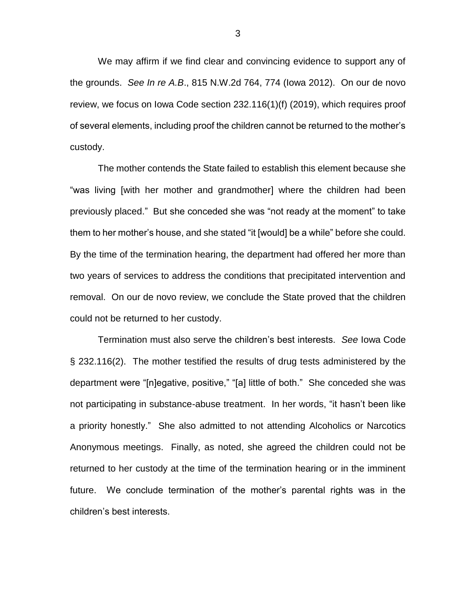We may affirm if we find clear and convincing evidence to support any of the grounds. *See In re A.B*., 815 N.W.2d 764, 774 (Iowa 2012). On our de novo review, we focus on Iowa Code section 232.116(1)(f) (2019), which requires proof of several elements, including proof the children cannot be returned to the mother's custody.

The mother contends the State failed to establish this element because she "was living [with her mother and grandmother] where the children had been previously placed." But she conceded she was "not ready at the moment" to take them to her mother's house, and she stated "it [would] be a while" before she could. By the time of the termination hearing, the department had offered her more than two years of services to address the conditions that precipitated intervention and removal. On our de novo review, we conclude the State proved that the children could not be returned to her custody.

Termination must also serve the children's best interests. *See* Iowa Code § 232.116(2). The mother testified the results of drug tests administered by the department were "[n]egative, positive," "[a] little of both." She conceded she was not participating in substance-abuse treatment. In her words, "it hasn't been like a priority honestly." She also admitted to not attending Alcoholics or Narcotics Anonymous meetings. Finally, as noted, she agreed the children could not be returned to her custody at the time of the termination hearing or in the imminent future. We conclude termination of the mother's parental rights was in the children's best interests.